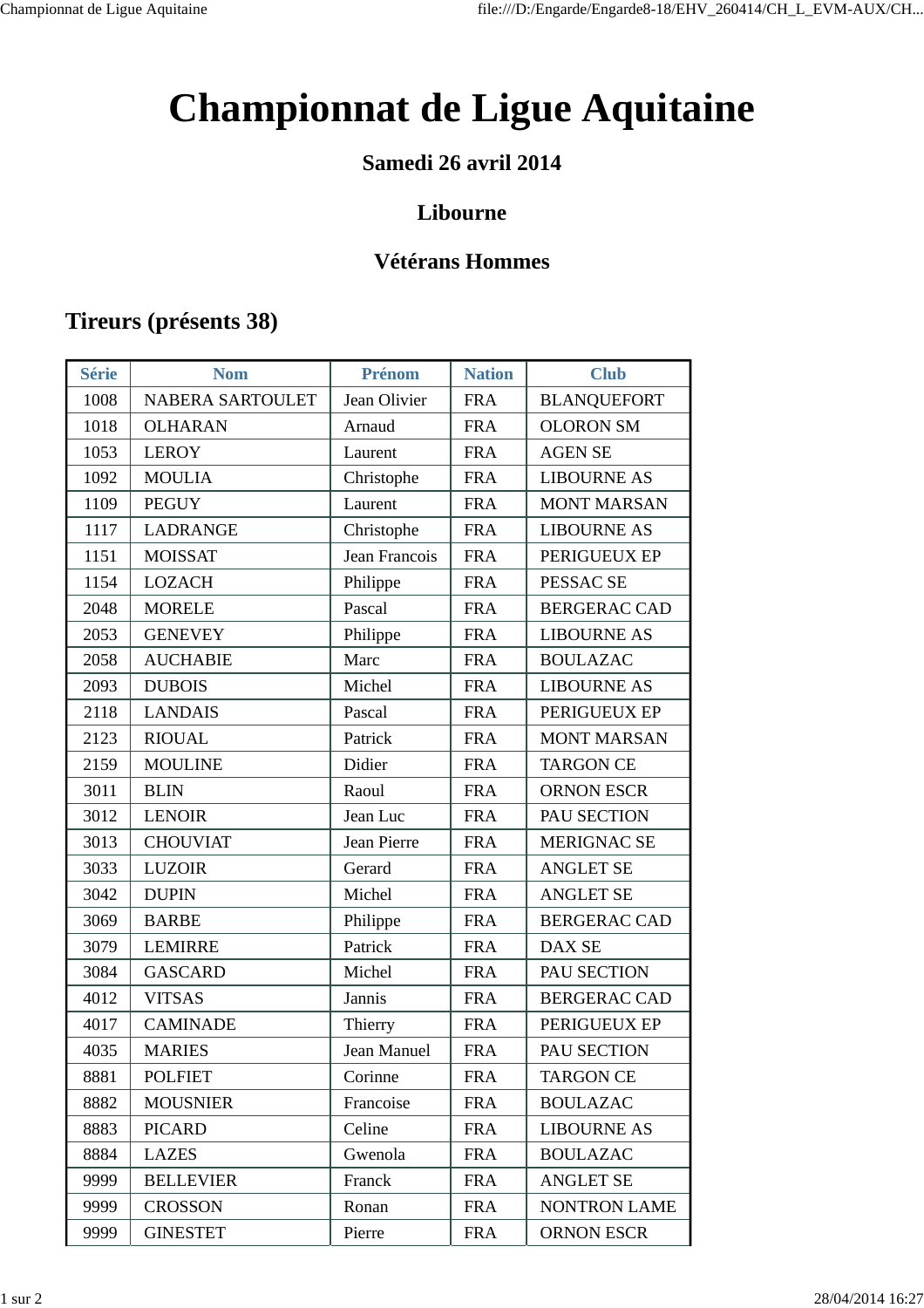# **Championnat de Ligue Aquitaine**

### **Samedi 26 avril 2014**

### **Libourne**

### **Vétérans Hommes**

### **Tireurs (présents 38)**

| <b>Série</b> | <b>Nom</b>       | Prénom        | <b>Nation</b> | <b>Club</b>         |
|--------------|------------------|---------------|---------------|---------------------|
| 1008         | NABERA SARTOULET | Jean Olivier  | <b>FRA</b>    | <b>BLANQUEFORT</b>  |
| 1018         | <b>OLHARAN</b>   | Arnaud        | <b>FRA</b>    | <b>OLORON SM</b>    |
| 1053         | <b>LEROY</b>     | Laurent       | <b>FRA</b>    | <b>AGEN SE</b>      |
| 1092         | <b>MOULIA</b>    | Christophe    | <b>FRA</b>    | <b>LIBOURNE AS</b>  |
| 1109         | <b>PEGUY</b>     | Laurent       | <b>FRA</b>    | <b>MONT MARSAN</b>  |
| 1117         | <b>LADRANGE</b>  | Christophe    | <b>FRA</b>    | <b>LIBOURNE AS</b>  |
| 1151         | <b>MOISSAT</b>   | Jean Francois | <b>FRA</b>    | PERIGUEUX EP        |
| 1154         | <b>LOZACH</b>    | Philippe      | <b>FRA</b>    | PESSAC SE           |
| 2048         | <b>MORELE</b>    | Pascal        | <b>FRA</b>    | <b>BERGERAC CAD</b> |
| 2053         | <b>GENEVEY</b>   | Philippe      | <b>FRA</b>    | <b>LIBOURNE AS</b>  |
| 2058         | <b>AUCHABIE</b>  | Marc          | <b>FRA</b>    | <b>BOULAZAC</b>     |
| 2093         | <b>DUBOIS</b>    | Michel        | <b>FRA</b>    | <b>LIBOURNE AS</b>  |
| 2118         | <b>LANDAIS</b>   | Pascal        | <b>FRA</b>    | PERIGUEUX EP        |
| 2123         | <b>RIOUAL</b>    | Patrick       | <b>FRA</b>    | <b>MONT MARSAN</b>  |
| 2159         | <b>MOULINE</b>   | Didier        | <b>FRA</b>    | <b>TARGON CE</b>    |
| 3011         | <b>BLIN</b>      | Raoul         | <b>FRA</b>    | <b>ORNON ESCR</b>   |
| 3012         | <b>LENOIR</b>    | Jean Luc      | <b>FRA</b>    | PAU SECTION         |
| 3013         | <b>CHOUVIAT</b>  | Jean Pierre   | <b>FRA</b>    | <b>MERIGNAC SE</b>  |
| 3033         | <b>LUZOIR</b>    | Gerard        | <b>FRA</b>    | <b>ANGLET SE</b>    |
| 3042         | <b>DUPIN</b>     | Michel        | <b>FRA</b>    | <b>ANGLET SE</b>    |
| 3069         | <b>BARBE</b>     | Philippe      | <b>FRA</b>    | <b>BERGERAC CAD</b> |
| 3079         | <b>LEMIRRE</b>   | Patrick       | <b>FRA</b>    | DAX SE              |
| 3084         | <b>GASCARD</b>   | Michel        | <b>FRA</b>    | PAU SECTION         |
| 4012         | <b>VITSAS</b>    | Jannis        | <b>FRA</b>    | <b>BERGERAC CAD</b> |
| 4017         | <b>CAMINADE</b>  | Thierry       | <b>FRA</b>    | PERIGUEUX EP        |
| 4035         | <b>MARIES</b>    | Jean Manuel   | <b>FRA</b>    | PAU SECTION         |
| 8881         | <b>POLFIET</b>   | Corinne       | <b>FRA</b>    | <b>TARGON CE</b>    |
| 8882         | <b>MOUSNIER</b>  | Francoise     | <b>FRA</b>    | <b>BOULAZAC</b>     |
| 8883         | <b>PICARD</b>    | Celine        | <b>FRA</b>    | <b>LIBOURNE AS</b>  |
| 8884         | <b>LAZES</b>     | Gwenola       | <b>FRA</b>    | <b>BOULAZAC</b>     |
| 9999         | <b>BELLEVIER</b> | Franck        | <b>FRA</b>    | <b>ANGLET SE</b>    |
| 9999         | <b>CROSSON</b>   | Ronan         | <b>FRA</b>    | <b>NONTRON LAME</b> |
| 9999         | <b>GINESTET</b>  | Pierre        | <b>FRA</b>    | <b>ORNON ESCR</b>   |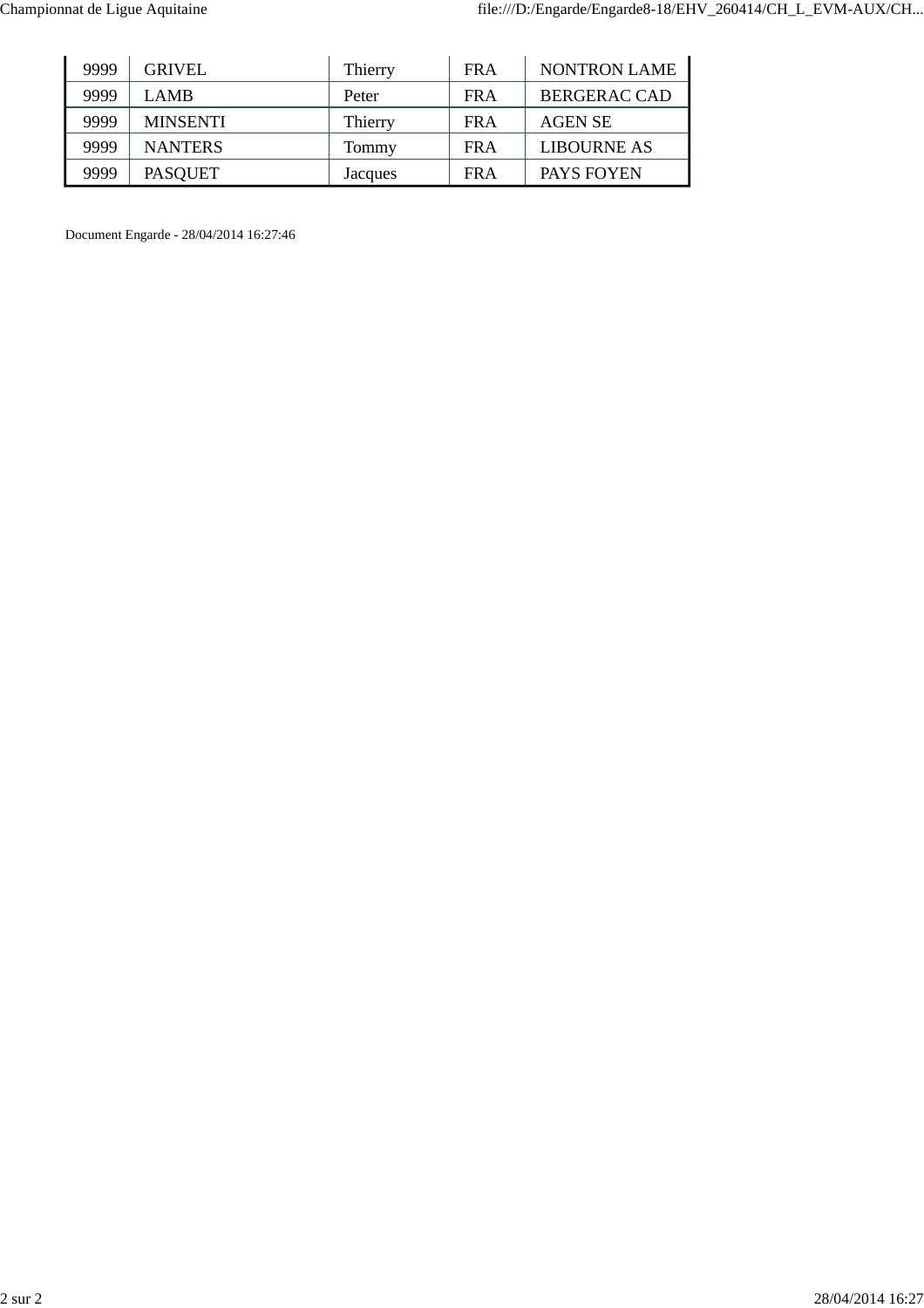| 9999 | GRIVEL          | Thierry | <b>FRA</b> | <b>NONTRON LAME</b> |
|------|-----------------|---------|------------|---------------------|
| 9999 | LAMB            | Peter   | <b>FRA</b> | BERGERAC CAD        |
| 9999 | <b>MINSENTI</b> | Thierry | FR A       | <b>AGEN SE</b>      |
| 9999 | <b>NANTERS</b>  | Tommy   | <b>FRA</b> | <b>LIBOURNE AS</b>  |
| 9999 | <b>PASQUET</b>  | Jacques | <b>FRA</b> | PAYS FOYEN          |

Document Engarde - 28/04/2014 16:27:46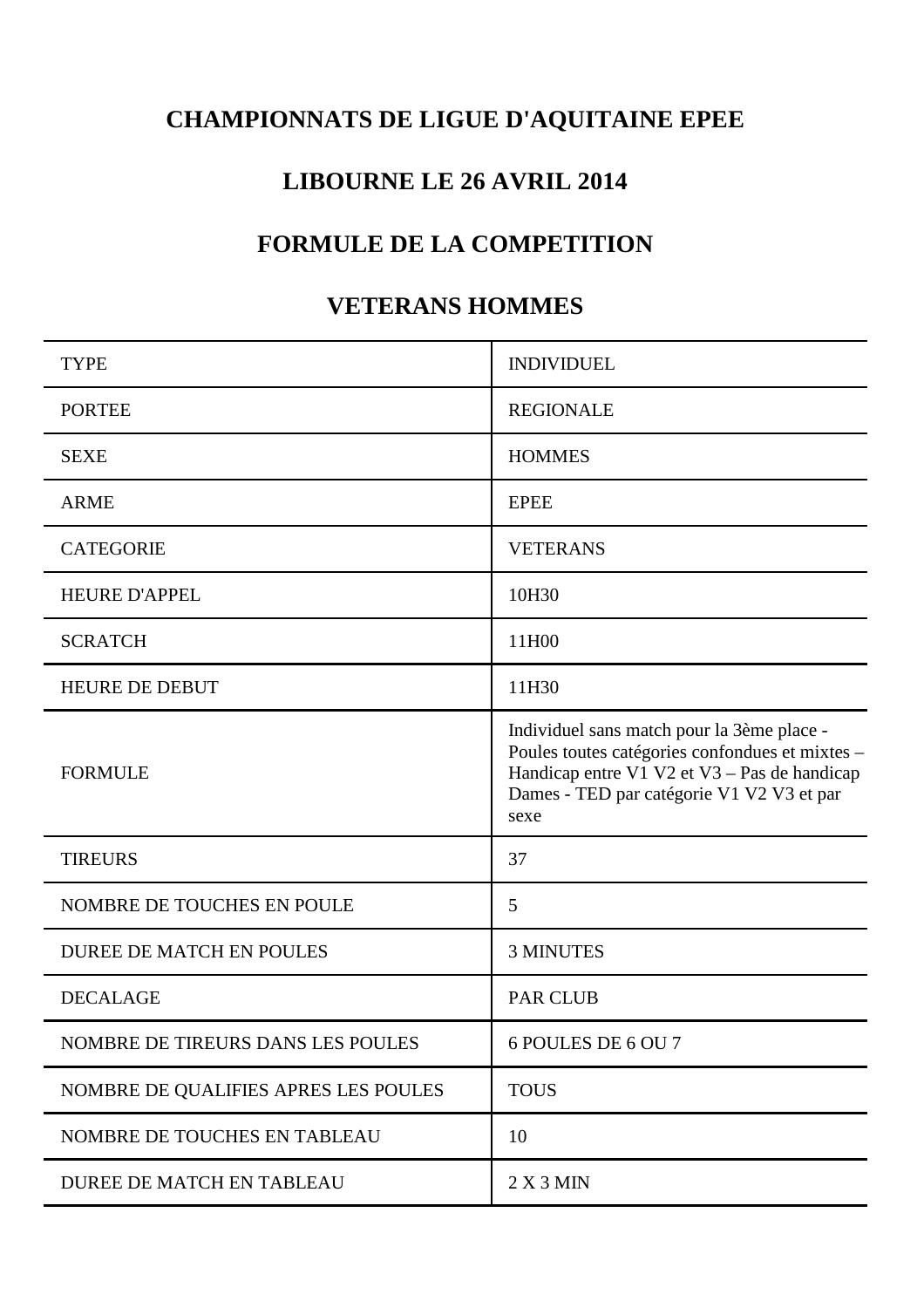# **CHAMPIONNATS DE LIGUE D'AQUITAINE EPEE**

### **LIBOURNE LE 26 AVRIL 2014**

### **FORMULE DE LA COMPETITION**

### **VETERANS HOMMES**

| <b>TYPE</b>                          | <b>INDIVIDUEL</b>                                                                                                                                                                                  |
|--------------------------------------|----------------------------------------------------------------------------------------------------------------------------------------------------------------------------------------------------|
| <b>PORTEE</b>                        | <b>REGIONALE</b>                                                                                                                                                                                   |
| <b>SEXE</b>                          | <b>HOMMES</b>                                                                                                                                                                                      |
| <b>ARME</b>                          | <b>EPEE</b>                                                                                                                                                                                        |
| <b>CATEGORIE</b>                     | <b>VETERANS</b>                                                                                                                                                                                    |
| <b>HEURE D'APPEL</b>                 | 10H30                                                                                                                                                                                              |
| <b>SCRATCH</b>                       | 11H00                                                                                                                                                                                              |
| <b>HEURE DE DEBUT</b>                | 11H30                                                                                                                                                                                              |
| <b>FORMULE</b>                       | Individuel sans match pour la 3ème place -<br>Poules toutes catégories confondues et mixtes -<br>Handicap entre V1 V2 et V3 - Pas de handicap<br>Dames - TED par catégorie V1 V2 V3 et par<br>sexe |
| <b>TIREURS</b>                       | 37                                                                                                                                                                                                 |
| NOMBRE DE TOUCHES EN POULE           | 5                                                                                                                                                                                                  |
| <b>DUREE DE MATCH EN POULES</b>      | <b>3 MINUTES</b>                                                                                                                                                                                   |
| <b>DECALAGE</b>                      | <b>PAR CLUB</b>                                                                                                                                                                                    |
| NOMBRE DE TIREURS DANS LES POULES    | 6 POULES DE 6 OU 7                                                                                                                                                                                 |
| NOMBRE DE QUALIFIES APRES LES POULES | <b>TOUS</b>                                                                                                                                                                                        |
| NOMBRE DE TOUCHES EN TABLEAU         | 10                                                                                                                                                                                                 |
| DUREE DE MATCH EN TABLEAU            | 2 X 3 MIN                                                                                                                                                                                          |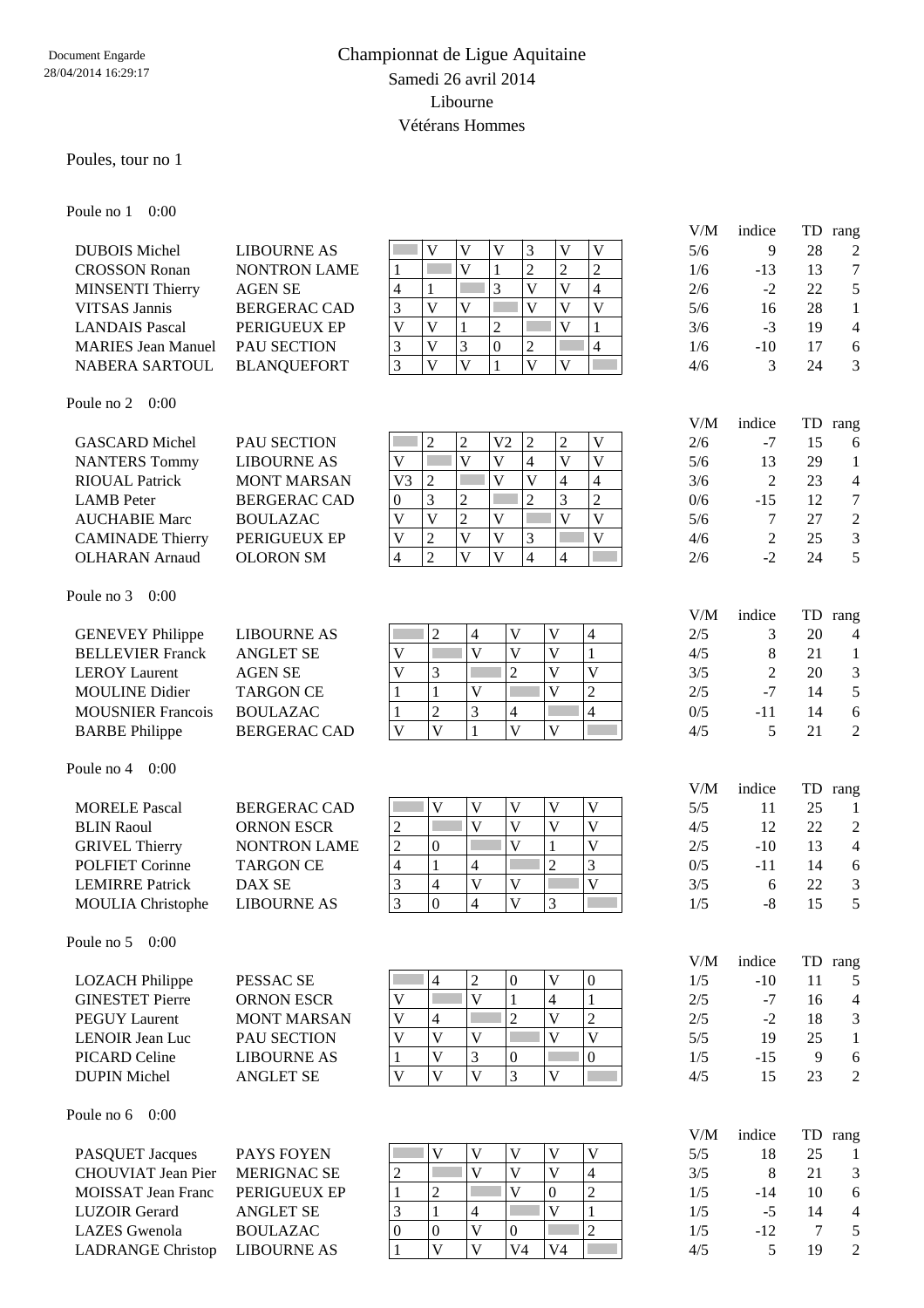### Championnat de Ligue Aquitaine Samedi 26 avril 2014 Libourne Vétérans Hommes

#### Poules, tour no 1

Poule no 1 0:00

|                                                  |                                       |                                                                                                                                                                            | V/M        | indice         | TD                   | rang                     |
|--------------------------------------------------|---------------------------------------|----------------------------------------------------------------------------------------------------------------------------------------------------------------------------|------------|----------------|----------------------|--------------------------|
| <b>DUBOIS</b> Michel                             | <b>LIBOURNE AS</b>                    | $\overline{\mathbf{V}}$<br>$\mathbf{V}$<br>$\mathbf V$<br>3<br>$\mathbf V$<br>V                                                                                            | 5/6        | 9              | 28                   | $\boldsymbol{2}$         |
| <b>CROSSON Ronan</b>                             | <b>NONTRON LAME</b>                   | $\overline{\mathsf{V}}$<br>$\overline{2}$<br>$\overline{2}$<br>$\overline{c}$<br>Г<br>$\mathbf{1}$<br>$\mathbf{1}$                                                         | 1/6        | $-13$          | 13                   | $\tau$                   |
| <b>MINSENTI Thierry</b>                          | <b>AGEN SE</b>                        | $\overline{3}$<br>$\overline{\mathbf{V}}$<br>$\overline{\mathsf{V}}$<br>$\overline{4}$<br>$\overline{4}$<br>$\mathbf{1}$                                                   | 2/6        | $-2$           | 22                   | 5                        |
| <b>VITSAS Jannis</b>                             | <b>BERGERAC CAD</b>                   | 3<br>$\overline{\mathsf{V}}$<br>$\overline{V}$<br>$\overline{\mathsf{V}}$<br>$\overline{\mathsf{V}}$<br>$\overline{\mathsf{V}}$<br>Г                                       | 5/6        | 16             | 28                   | $\mathbf{1}$             |
| <b>LANDAIS Pascal</b>                            | PERIGUEUX EP                          | $\overline{V}$<br>$\overline{V}$<br>$\overline{V}$<br>$\overline{c}$<br>$\mathbf{1}$<br>1                                                                                  | 3/6        | $-3$           | 19                   | $\overline{4}$           |
| <b>MARIES Jean Manuel</b>                        | PAU SECTION                           | $\overline{V}$<br>3<br>$\boldsymbol{0}$<br>3<br>$\overline{c}$<br>$\overline{4}$                                                                                           | 1/6        | $-10$          | 17                   | $\sqrt{6}$               |
| NABERA SARTOUL                                   | <b>BLANQUEFORT</b>                    | $\overline{3}$<br>$\overline{V}$<br>$\overline{V}$<br>$\overline{V}$<br>$\mathbf{1}$<br>V                                                                                  | 4/6        | 3              | 24                   | 3                        |
|                                                  |                                       |                                                                                                                                                                            |            |                |                      |                          |
| Poule no $2 \quad 0:00$                          |                                       |                                                                                                                                                                            | V/M        | indice         | TD                   | rang                     |
| <b>GASCARD Michel</b>                            | PAU SECTION                           | $\overline{2}$<br>$\overline{c}$<br>V <sub>2</sub><br>$\sqrt{2}$<br>$\overline{c}$<br>$\mathbf V$                                                                          | 2/6        | $-7$           | 15                   | 6                        |
| <b>NANTERS Tommy</b>                             | <b>LIBOURNE AS</b>                    | $\overline{\mathsf{V}}$<br>$\overline{\mathsf{V}}$<br>$\overline{\mathsf{V}}$<br>$\overline{\mathbf{V}}$<br>F<br>$\overline{V}$<br>$\overline{4}$                          | 5/6        | 13             | 29                   | $\mathbf{1}$             |
| <b>RIOUAL Patrick</b>                            | <b>MONT MARSAN</b>                    | $\overline{V}$<br>$\overline{c}$<br>$\overline{\mathsf{V}}$<br>V <sub>3</sub><br>$\overline{4}$<br>$\overline{4}$                                                          | 3/6        | $\overline{c}$ | 23                   | $\overline{\mathcal{A}}$ |
| <b>LAMB</b> Peter                                | <b>BERGERAC CAD</b>                   | 3<br>$\overline{2}$<br>$\overline{c}$<br>$\overline{c}$<br>3<br>r.<br>$\boldsymbol{0}$                                                                                     | 0/6        | $-15$          | 12                   | $\tau$                   |
| <b>AUCHABIE Marc</b>                             | <b>BOULAZAC</b>                       | $\overline{\mathsf{V}}$<br>$\overline{2}$<br>$\overline{V}$<br>$\overline{\mathsf{V}}$<br>$\overline{V}$<br>$\overline{\mathsf{V}}$                                        | 5/6        | 7              | 27                   | $\overline{2}$           |
| <b>CAMINADE Thierry</b>                          | PERIGUEUX EP                          | $\overline{2}$<br>$\overline{\mathsf{V}}$<br>$\overline{\mathsf{V}}$<br>3<br>$\mathbf{V}$<br>$\overline{\mathsf{V}}$                                                       | 4/6        | 2              | 25                   | $\mathfrak{Z}$           |
| <b>OLHARAN</b> Arnaud                            |                                       | $\overline{2}$<br>$\overline{V}$<br>$\overline{V}$<br>$\overline{4}$<br>4                                                                                                  |            | $-2$           | 24                   | 5                        |
|                                                  | <b>OLORON SM</b>                      | 4                                                                                                                                                                          | 2/6        |                |                      |                          |
| Poule no 3<br>0:00                               |                                       |                                                                                                                                                                            |            |                |                      |                          |
|                                                  |                                       |                                                                                                                                                                            | V/M        | indice         | TD                   | rang                     |
| <b>GENEVEY Philippe</b>                          | <b>LIBOURNE AS</b>                    | $\overline{2}$<br>4<br>$\mathbf V$<br>$\mathbf V$<br>$\overline{\mathcal{L}}$                                                                                              | 2/5        | 3              | 20                   | $\overline{4}$           |
| <b>BELLEVIER Franck</b>                          | <b>ANGLET SE</b>                      | $\overline{\mathsf{V}}$<br>$\overline{\mathsf{V}}$<br>$\overline{\mathbf{V}}$<br>V<br>Г<br>1                                                                               | 4/5        | 8              | 21                   | $\mathbf{1}$             |
| <b>LEROY</b> Laurent                             | <b>AGEN SE</b>                        | $\overline{2}$<br>3<br>$\overline{V}$<br>$\mathbf{V}$<br>$\mathbf V$                                                                                                       | 3/5        | 2              | 20                   | $\mathfrak{Z}$           |
| <b>MOULINE Didier</b>                            | <b>TARGON CE</b>                      | $\overline{2}$<br>$\mathbf{1}$<br>$\overline{\mathsf{V}}$<br>V<br>1                                                                                                        | 2/5        | $-7$           | 14                   | 5                        |
| <b>MOUSNIER Francois</b>                         | <b>BOULAZAC</b>                       | 3<br>$\overline{2}$<br>$\overline{4}$<br>4                                                                                                                                 | 0/5        | $-11$          | 14                   | 6                        |
| <b>BARBE Philippe</b>                            | <b>BERGERAC CAD</b>                   | $\overline{\mathbf{V}}$<br>$\overline{\mathbf{V}}$<br>$\overline{\mathbf{V}}$<br>$\mathbf{1}$<br>V                                                                         | 4/5        | 5              | 21                   | $\overline{c}$           |
| Poule no 4<br>0:00                               |                                       |                                                                                                                                                                            |            |                |                      |                          |
|                                                  |                                       |                                                                                                                                                                            | V/M        | indice         | TD                   | rang                     |
| <b>MORELE Pascal</b>                             | <b>BERGERAC CAD</b>                   | $\mathbf V$<br>$\mathbf{V}$<br>$\ensuremath{\mathbf{V}}$<br>$\mathbf V$<br>$\ensuremath{\mathsf{V}}$                                                                       | 5/5        | 11             | 25                   | $\mathbf{1}$             |
| <b>BLIN Raoul</b>                                | <b>ORNON ESCR</b>                     | $\overline{\mathbf{V}}$<br>$\overline{\mathsf{V}}$<br>$\overline{\mathsf{V}}$<br>$\overline{V}$<br>$\overline{c}$                                                          | 4/5        | 12             | 22                   | $\boldsymbol{2}$         |
| <b>GRIVEL Thierry</b>                            | <b>NONTRON LAME</b>                   | $\overline{\mathsf{V}}$<br>$\overline{V}$<br>$\overline{2}$<br>$\mathbf{0}$<br>$\mathbf{1}$                                                                                | 2/5        | $-10$          | 13                   | $\overline{4}$           |
| <b>POLFIET Corinne</b>                           | <b>TARGON CE</b>                      | $\overline{3}$<br>$\overline{2}$<br>1<br>$\overline{\mathcal{L}}$<br>4                                                                                                     | 0/5        | $-11$          | 14                   | 6                        |
| <b>LEMIRRE Patrick</b>                           | DAX SE                                | $\overline{\mathsf{V}}$<br>3<br>$\overline{4}$<br>$\mathbf V$<br>$\mathbf{V}$                                                                                              | 3/5        | 6              | 22                   | $\mathfrak{Z}$           |
| <b>MOULIA</b> Christophe                         | <b>LIBOURNE AS</b>                    | $\overline{0}$<br>$\overline{4}$<br>3<br>$\mathbf{V}$<br>3                                                                                                                 | 1/5        | $-8$           | 15                   | 5                        |
| Poule no 5<br>0:00                               |                                       |                                                                                                                                                                            |            |                |                      |                          |
|                                                  |                                       |                                                                                                                                                                            | V/M        | indice         |                      | TD rang                  |
| <b>LOZACH Philippe</b>                           | PESSAC <sub>SE</sub>                  | $\overline{c}$<br>$\boldsymbol{0}$<br>$\overline{4}$<br>V<br>$\boldsymbol{0}$                                                                                              | 1/5        | $-10$          | 11                   | 5                        |
| <b>GINESTET Pierre</b>                           | <b>ORNON ESCR</b>                     | $\overline{V}$<br>$\mathbf{1}$<br>$\mathbf V$<br>$\mathbf{1}$<br>$\overline{4}$                                                                                            | 2/5        | $-7$           | 16                   | $\overline{4}$           |
| <b>PEGUY Laurent</b>                             | <b>MONT MARSAN</b>                    | $\overline{2}$<br>$\overline{2}$<br>$\overline{\mathbf{V}}$<br>V<br>$\overline{4}$                                                                                         | 2/5        | $-2$           | 18                   | $\mathfrak{Z}$           |
| <b>LENOIR Jean Luc</b>                           | PAU SECTION                           | $\overline{\mathbf{V}}$<br>$\mathbf{V}$<br>$\mathbf V$<br>V<br>V                                                                                                           | 5/5        | 19             | 25                   | $\mathbf{1}$             |
| <b>PICARD Celine</b>                             | <b>LIBOURNE AS</b>                    | $\mathfrak{Z}$<br>$\overline{\mathsf{V}}$<br>$\boldsymbol{0}$<br>$\boldsymbol{0}$<br>1                                                                                     | 1/5        | $-15$          | 9                    | 6                        |
| <b>DUPIN Michel</b>                              | <b>ANGLET SE</b>                      | $\overline{\mathsf{V}}$<br>$\overline{\mathbf{V}}$<br>3<br>$\mathbf{V}$<br>$\overline{\mathsf{V}}$                                                                         | 4/5        | 15             | 23                   | $\mathfrak{2}$           |
| 0:00<br>Poule no 6                               |                                       |                                                                                                                                                                            |            |                |                      |                          |
| PASQUET Jacques                                  | PAYS FOYEN                            | $\mathbf{V}$<br>$\mathbf{V}$<br>$\mathbf V$<br>$\mathbf{V}$<br>$\mathbf V$                                                                                                 | V/M<br>5/5 | indice<br>18   | TD<br>25             | rang                     |
| <b>CHOUVIAT Jean Pier</b>                        |                                       | $\overline{\mathbf{V}}$<br>$\overline{\mathbf{V}}$<br>$\overline{V}$<br>$\overline{4}$<br>$\mathbf{2}$                                                                     | 3/5        | 8              | 21                   | $\mathbf{1}$<br>3        |
| <b>MOISSAT Jean Franc</b>                        |                                       |                                                                                                                                                                            |            |                |                      |                          |
|                                                  | <b>MERIGNAC SE</b>                    |                                                                                                                                                                            |            |                |                      |                          |
|                                                  | PERIGUEUX EP                          | $\overline{c}$<br>$\overline{\mathsf{V}}$<br>$\overline{2}$<br>$\mathbf{1}$<br>$\boldsymbol{0}$                                                                            | 1/5        | $-14$          | 10                   | 6                        |
| <b>LUZOIR Gerard</b>                             | <b>ANGLET SE</b>                      | $\overline{\mathbf{V}}$<br>$\mathbf{1}$<br>3<br>$\mathbf{1}$<br>$\overline{\mathcal{L}}$                                                                                   | 1/5        | $-5$           | 14                   | $\overline{4}$           |
| <b>LAZES</b> Gwenola<br><b>LADRANGE Christop</b> | <b>BOULAZAC</b><br><b>LIBOURNE AS</b> | $\overline{2}$<br>$\boldsymbol{0}$<br>$\overline{\mathsf{V}}$<br>0<br>$\boldsymbol{0}$<br>$\overline{\mathbf{V}}$<br>$\mathbf{V}$<br>V <sub>4</sub><br>V <sub>4</sub><br>1 | 1/5<br>4/5 | $-12$<br>5     | $\overline{7}$<br>19 | 5<br>$\overline{2}$      |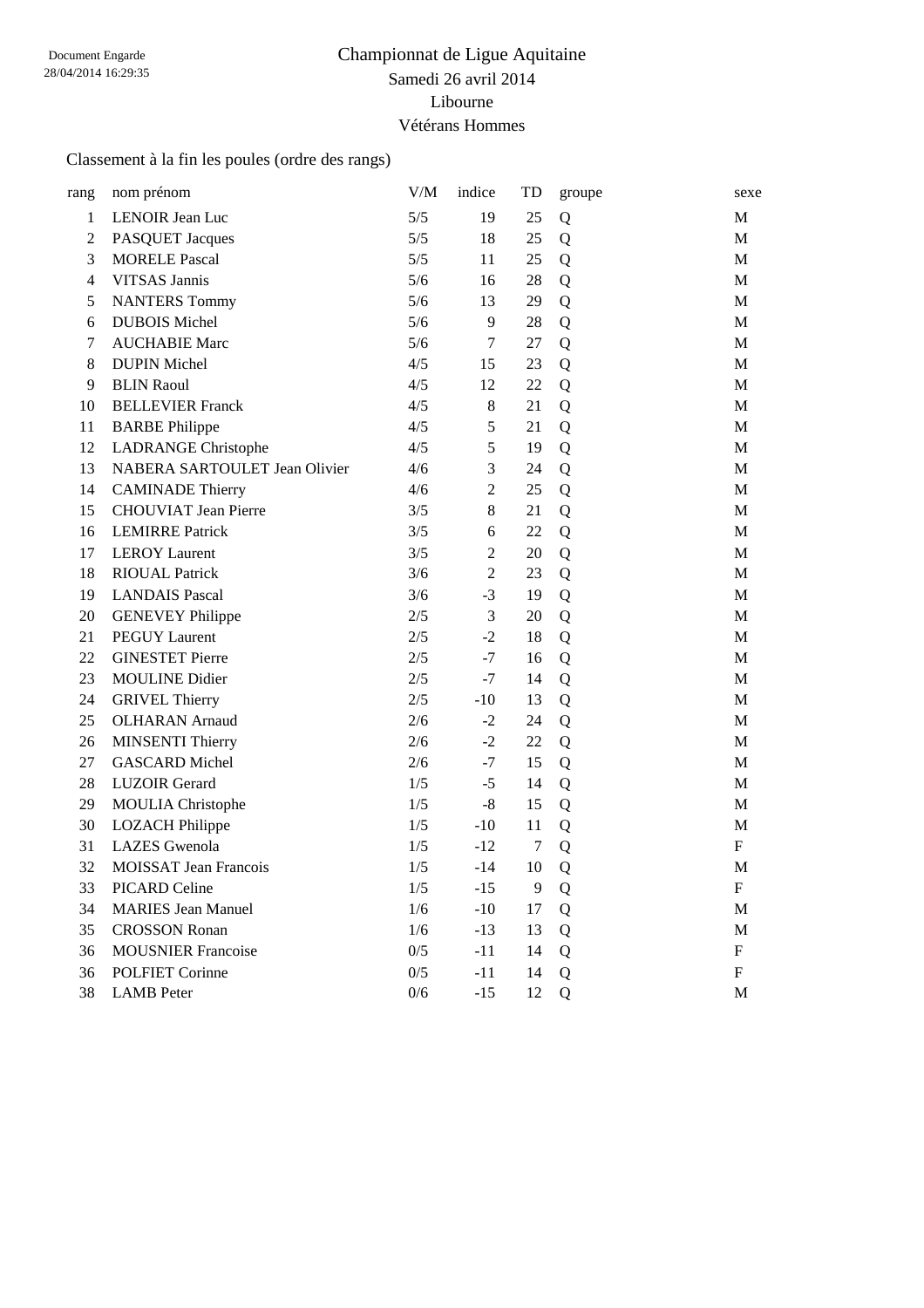### Championnat de Ligue Aquitaine Samedi 26 avril 2014 Libourne Vétérans Hommes

#### Classement à la fin les poules (ordre des rangs)

| rang           | nom prénom                    | V/M   | indice         | TD     | groupe      | sexe                      |
|----------------|-------------------------------|-------|----------------|--------|-------------|---------------------------|
| $\mathbf{1}$   | LENOIR Jean Luc               | 5/5   | 19             | 25     | Q           | M                         |
| $\mathbf{2}$   | PASQUET Jacques               | 5/5   | 18             | 25     | Q           | M                         |
| $\mathfrak{Z}$ | <b>MORELE Pascal</b>          | 5/5   | 11             | 25     | Q           | M                         |
| $\overline{4}$ | VITSAS Jannis                 | 5/6   | 16             | 28     | Q           | M                         |
| 5              | <b>NANTERS Tommy</b>          | 5/6   | 13             | 29     | Q           | M                         |
| 6              | <b>DUBOIS Michel</b>          | 5/6   | 9              | 28     | Q           | M                         |
| $\tau$         | <b>AUCHABIE Marc</b>          | 5/6   | $\tau$         | 27     | Q           | M                         |
| 8              | <b>DUPIN Michel</b>           | 4/5   | 15             | 23     | Q           | M                         |
| 9              | <b>BLIN Raoul</b>             | 4/5   | 12             | 22     | Q           | M                         |
| 10             | <b>BELLEVIER Franck</b>       | 4/5   | $8\,$          | 21     | Q           | M                         |
| 11             | <b>BARBE Philippe</b>         | 4/5   | $\mathfrak s$  | 21     | Q           | M                         |
| 12             | <b>LADRANGE Christophe</b>    | 4/5   | 5              | 19     | Q           | M                         |
| 13             | NABERA SARTOULET Jean Olivier | 4/6   | 3              | 24     | Q           | M                         |
| 14             | <b>CAMINADE Thierry</b>       | 4/6   | $\overline{2}$ | 25     | Q           | M                         |
| 15             | <b>CHOUVIAT Jean Pierre</b>   | 3/5   | 8              | 21     | Q           | M                         |
| 16             | <b>LEMIRRE Patrick</b>        | 3/5   | 6              | 22     | Q           | M                         |
| 17             | <b>LEROY</b> Laurent          | 3/5   | $\mathfrak{2}$ | 20     | Q           | M                         |
| 18             | <b>RIOUAL Patrick</b>         | 3/6   | $\overline{2}$ | 23     | Q           | M                         |
| 19             | <b>LANDAIS Pascal</b>         | 3/6   | $-3$           | 19     | Q           | M                         |
| 20             | <b>GENEVEY Philippe</b>       | 2/5   | 3              | 20     | Q           | M                         |
| 21             | <b>PEGUY Laurent</b>          | 2/5   | $-2$           | 18     | Q           | M                         |
| 22             | <b>GINESTET Pierre</b>        | $2/5$ | $-7$           | 16     | Q           | M                         |
| 23             | <b>MOULINE Didier</b>         | 2/5   | $-7$           | 14     | Q           | M                         |
| 24             | <b>GRIVEL Thierry</b>         | 2/5   | $-10$          | 13     | Q           | M                         |
| 25             | <b>OLHARAN</b> Arnaud         | 2/6   | $-2$           | 24     | Q           | M                         |
| 26             | <b>MINSENTI Thierry</b>       | 2/6   | $-2$           | 22     | Q           | M                         |
| 27             | <b>GASCARD Michel</b>         | 2/6   | $-7$           | 15     | Q           | M                         |
| 28             | <b>LUZOIR Gerard</b>          | 1/5   | $-5$           | 14     | Q           | M                         |
| 29             | <b>MOULIA</b> Christophe      | 1/5   | $-8$           | 15     | Q           | M                         |
| 30             | <b>LOZACH Philippe</b>        | 1/5   | $-10$          | 11     | Q           | M                         |
| 31             | <b>LAZES</b> Gwenola          | 1/5   | $-12$          | $\tau$ | Q           | $\boldsymbol{\mathrm{F}}$ |
| 32             | <b>MOISSAT Jean Francois</b>  | 1/5   | $-14$          | 10     | Q           | M                         |
| 33             | PICARD Celine                 | 1/5   | $-15$          | 9      | Q           | F                         |
| 34             | <b>MARIES Jean Manuel</b>     | 1/6   | $-10$          | 17     | Q           | M                         |
| 35             | <b>CROSSON Ronan</b>          | 1/6   | $-13$          | 13     | Q           | M                         |
| 36             | <b>MOUSNIER Francoise</b>     | 0/5   | -11            | 14     | Q           | F                         |
| 36             | <b>POLFIET Corinne</b>        | 0/5   | $-11$          | 14     | Q           | F                         |
| 38             | <b>LAMB</b> Peter             | 0/6   | $-15$          | 12     | $\mathbf Q$ | M                         |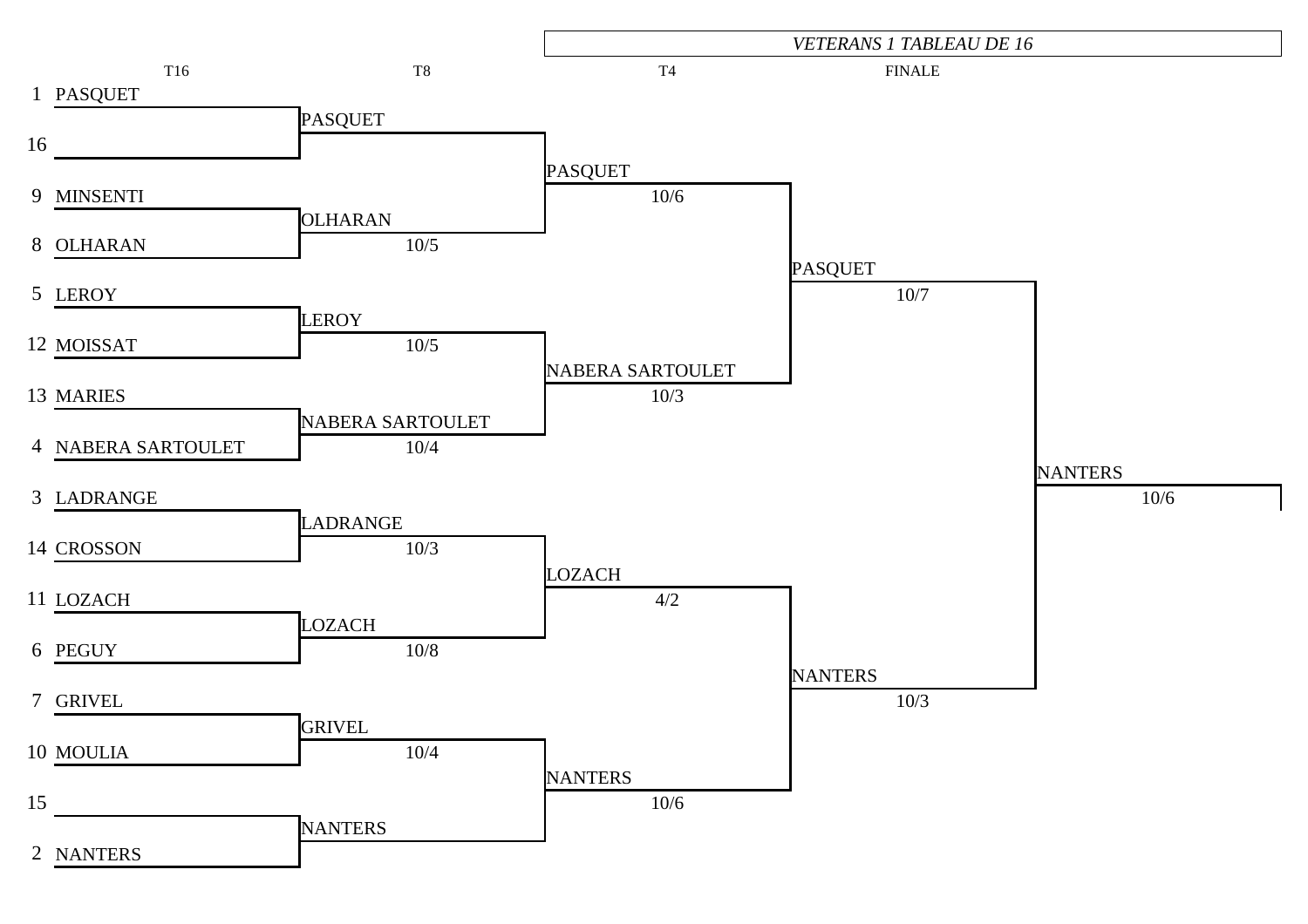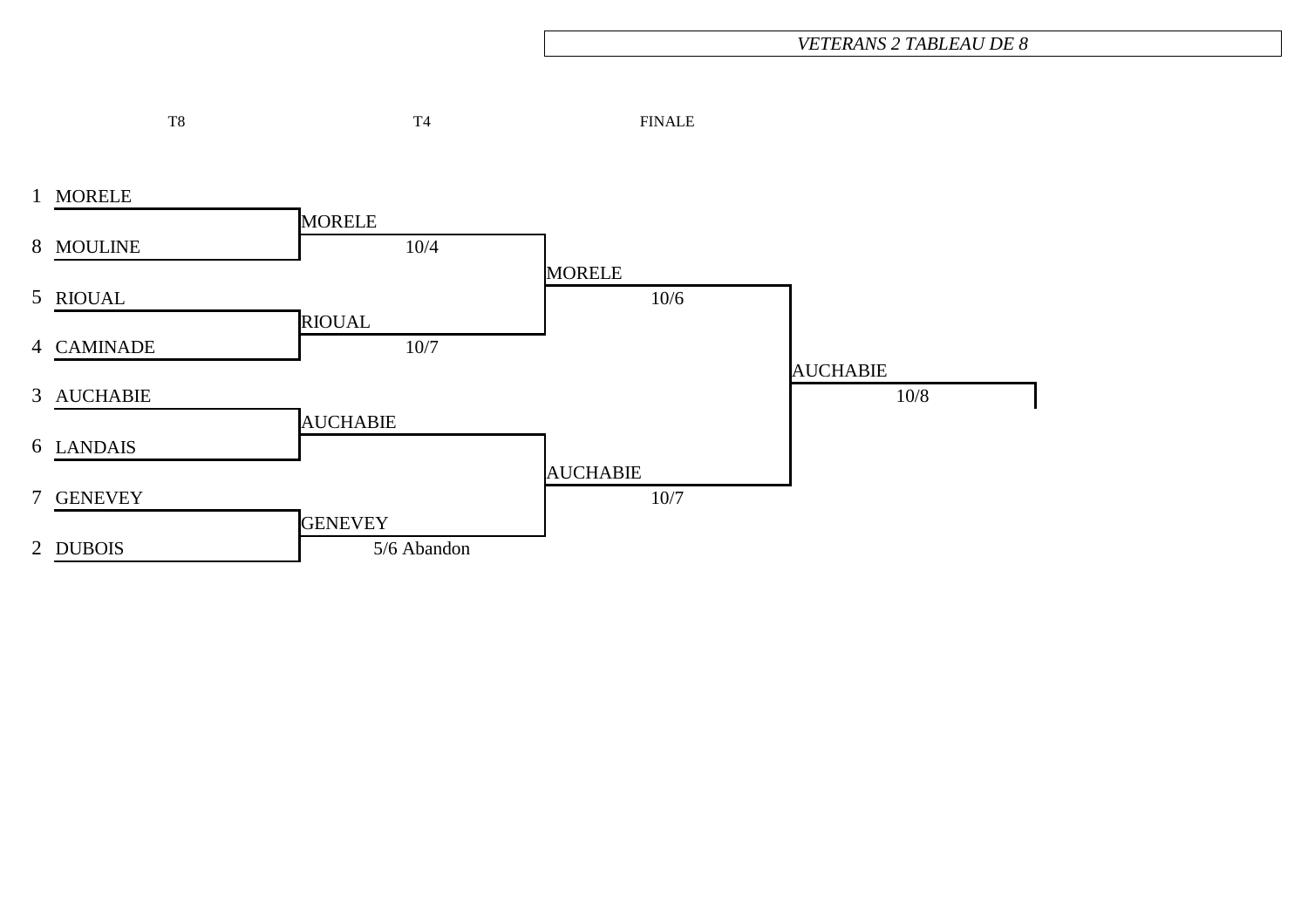#### *VETERANS 2 TABLEAU DE 8*

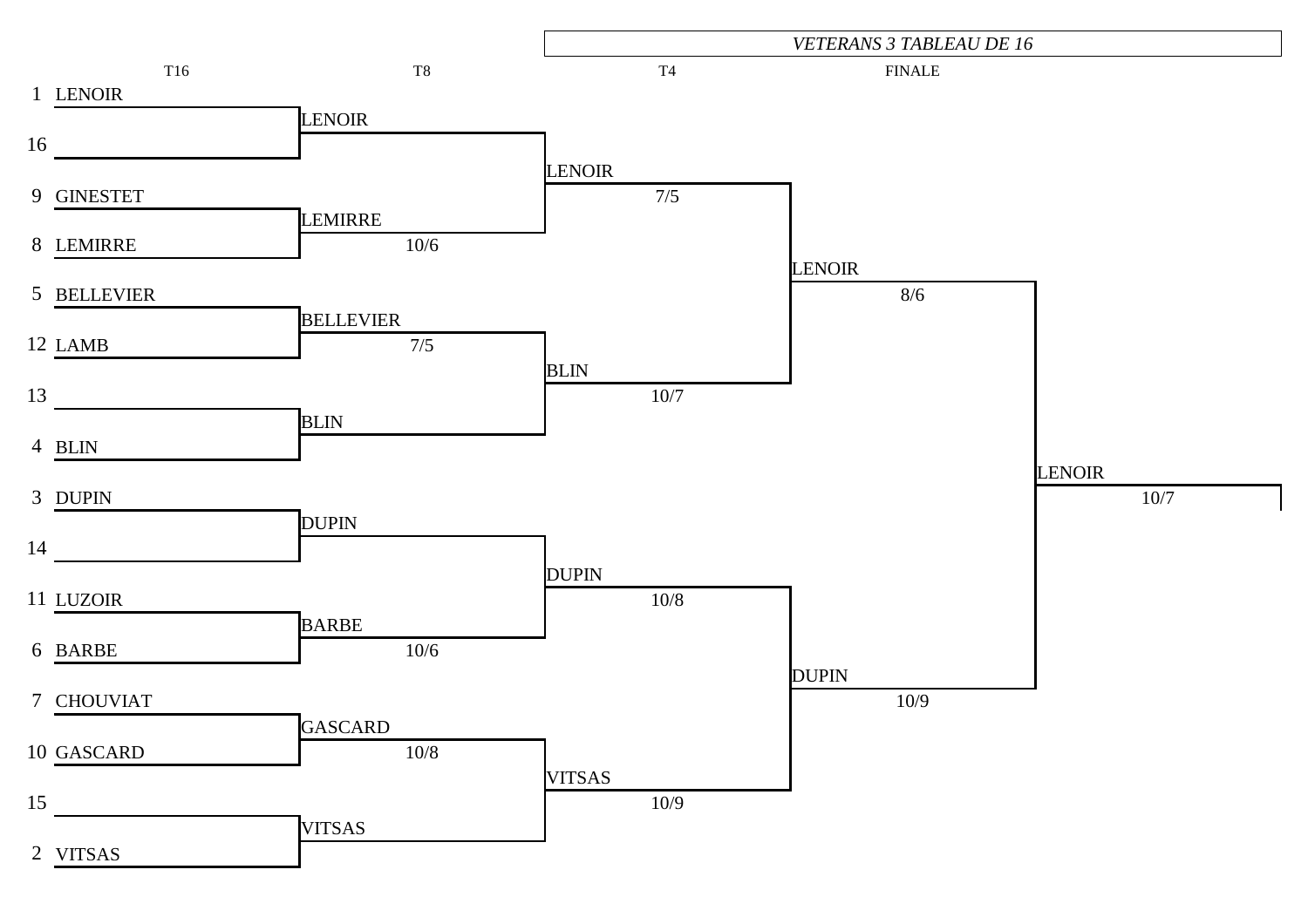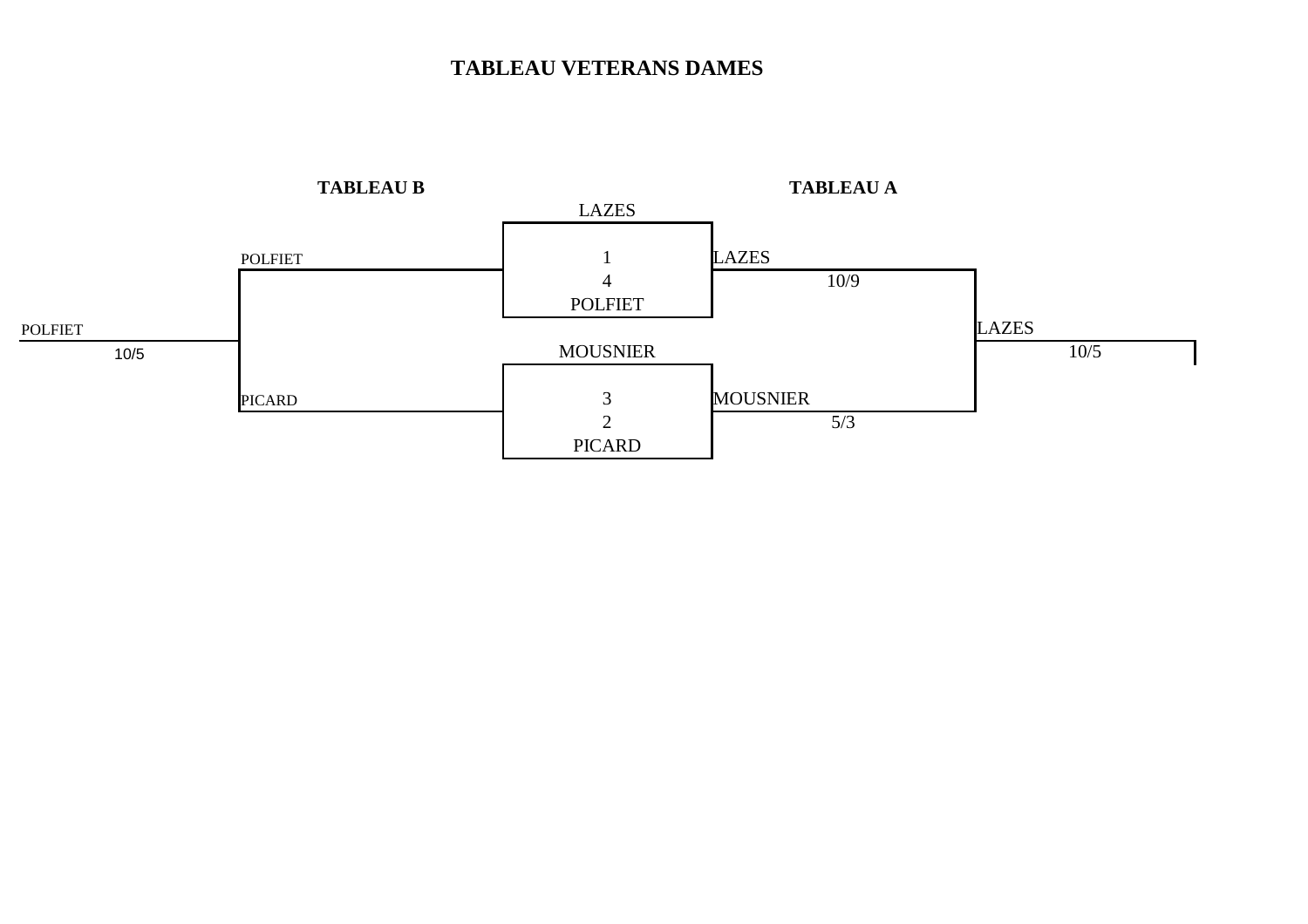### **TABLEAU VETERANS DAMES**

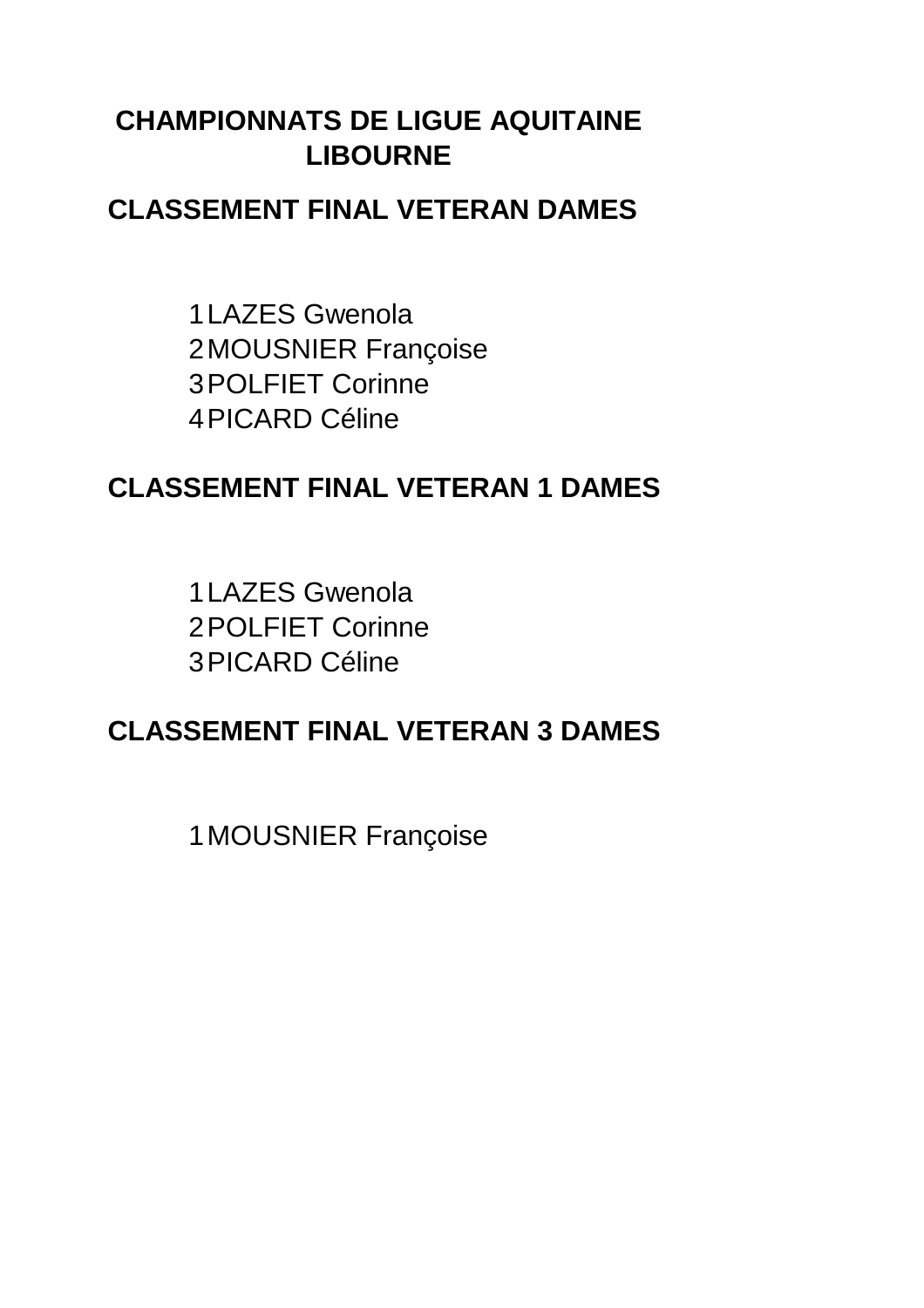### **CLASSEMENT FINAL VETERAN DAMES**

1 LAZES Gwenola 2MOUSNIER Françoise 3POLFIET Corinne 4PICARD Céline

# **CLASSEMENT FINAL VETERAN 1 DAMES**

1 LAZES Gwenola2POLFIET Corinne 3PICARD Céline

# **CLASSEMENT FINAL VETERAN 3 DAMES**

1MOUSNIER Françoise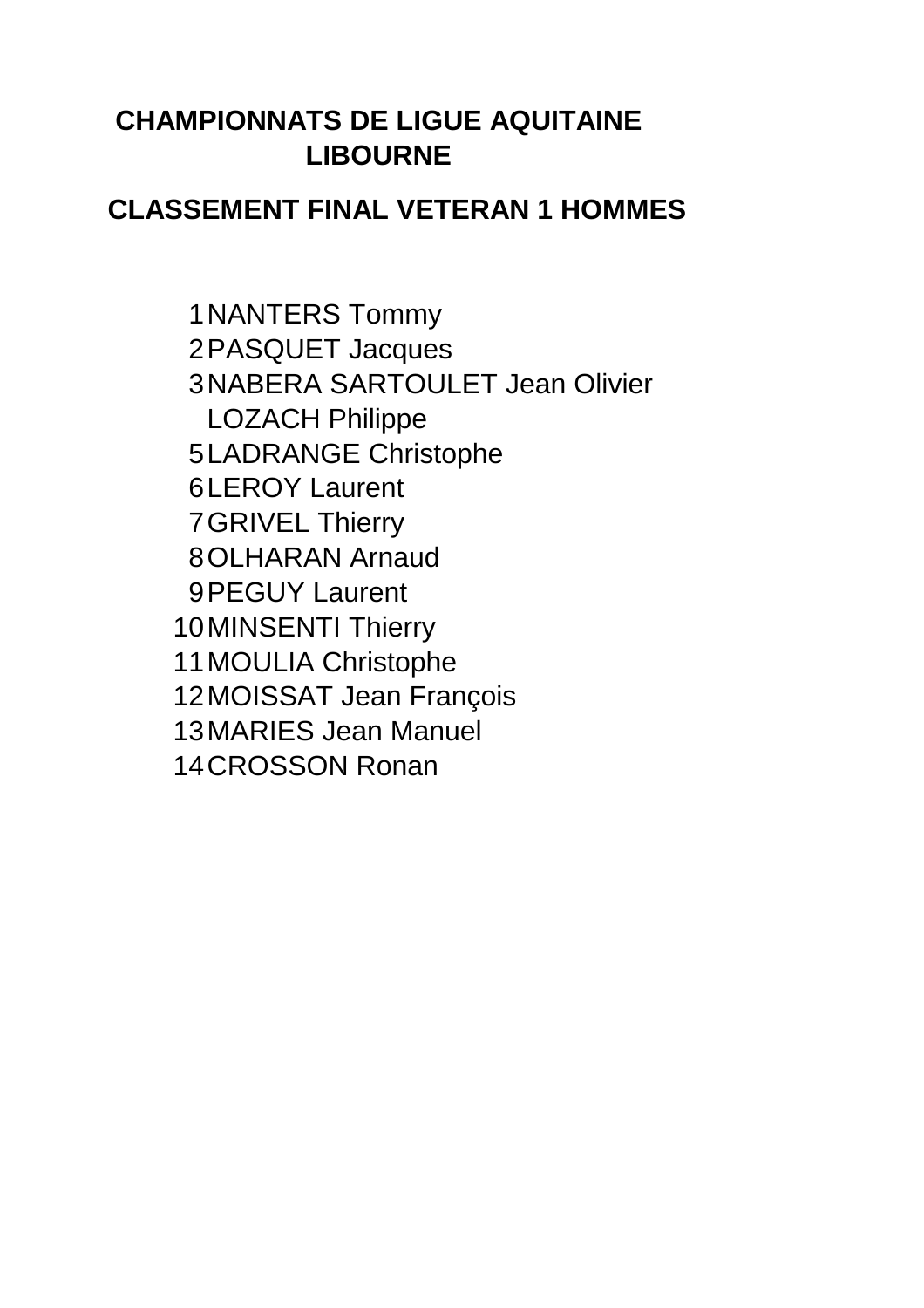### **CLASSEMENT FINAL VETERAN 1 HOMMES**

1NANTERS Tommy 2PASQUET Jacques 3NABERA SARTOULET Jean Olivier LOZACH Philippe 5LADRANGE Christophe 6LEROY Laurent 7GRIVEL Thierry 8OLHARAN Arnaud 9PEGUY Laurent 10MINSENTI Thierry 11MOULIA Christophe 12MOISSAT Jean François 13MARIES Jean Manuel 14CROSSON Ronan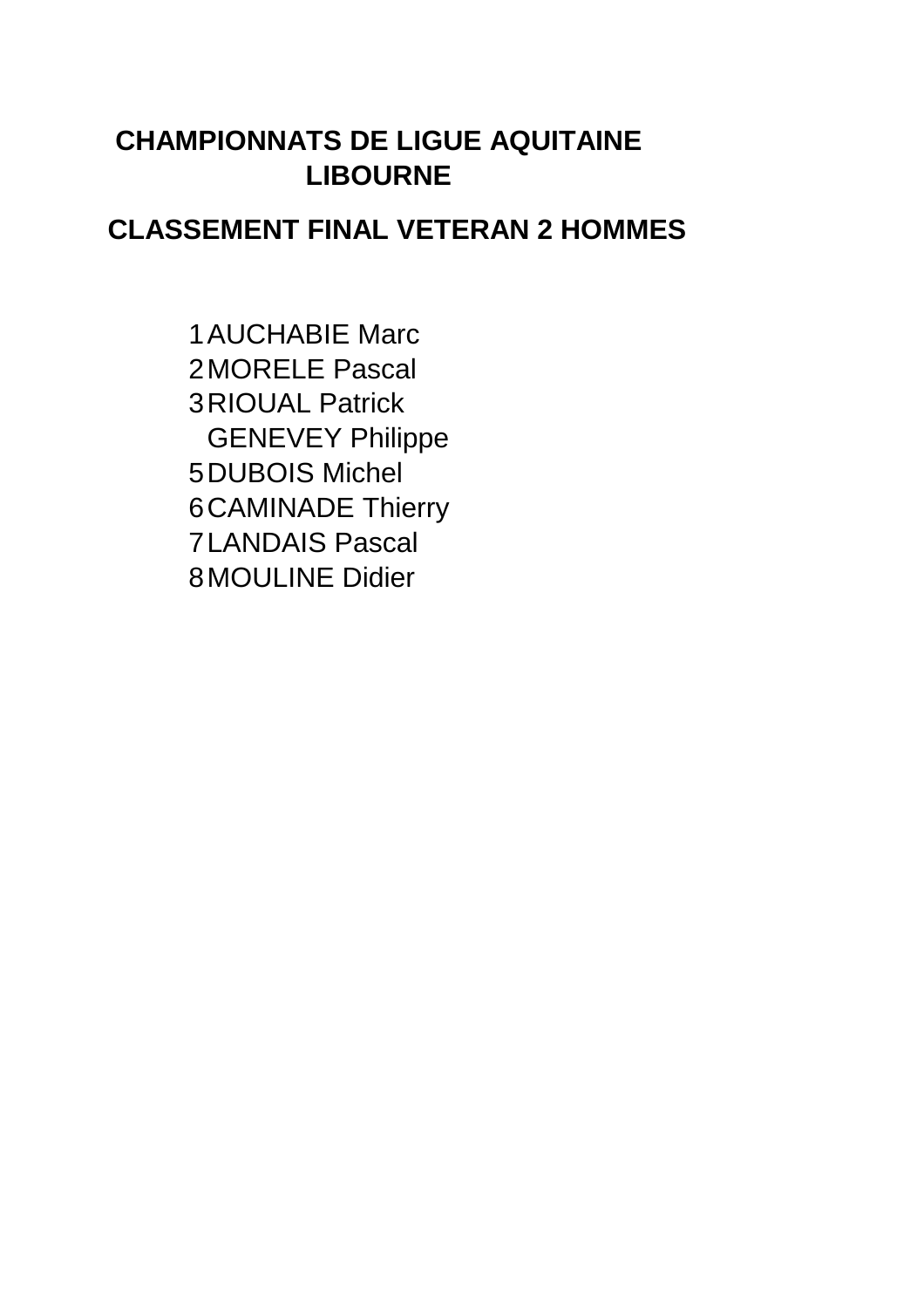### **CLASSEMENT FINAL VETERAN 2 HOMMES**

1AUCHABIE Marc 2MORELE Pascal 3RIOUAL Patrick GENEVEY Philippe 5DUBOIS Michel 6CAMINADE Thierry 7LANDAIS Pascal 8MOULINE Didier